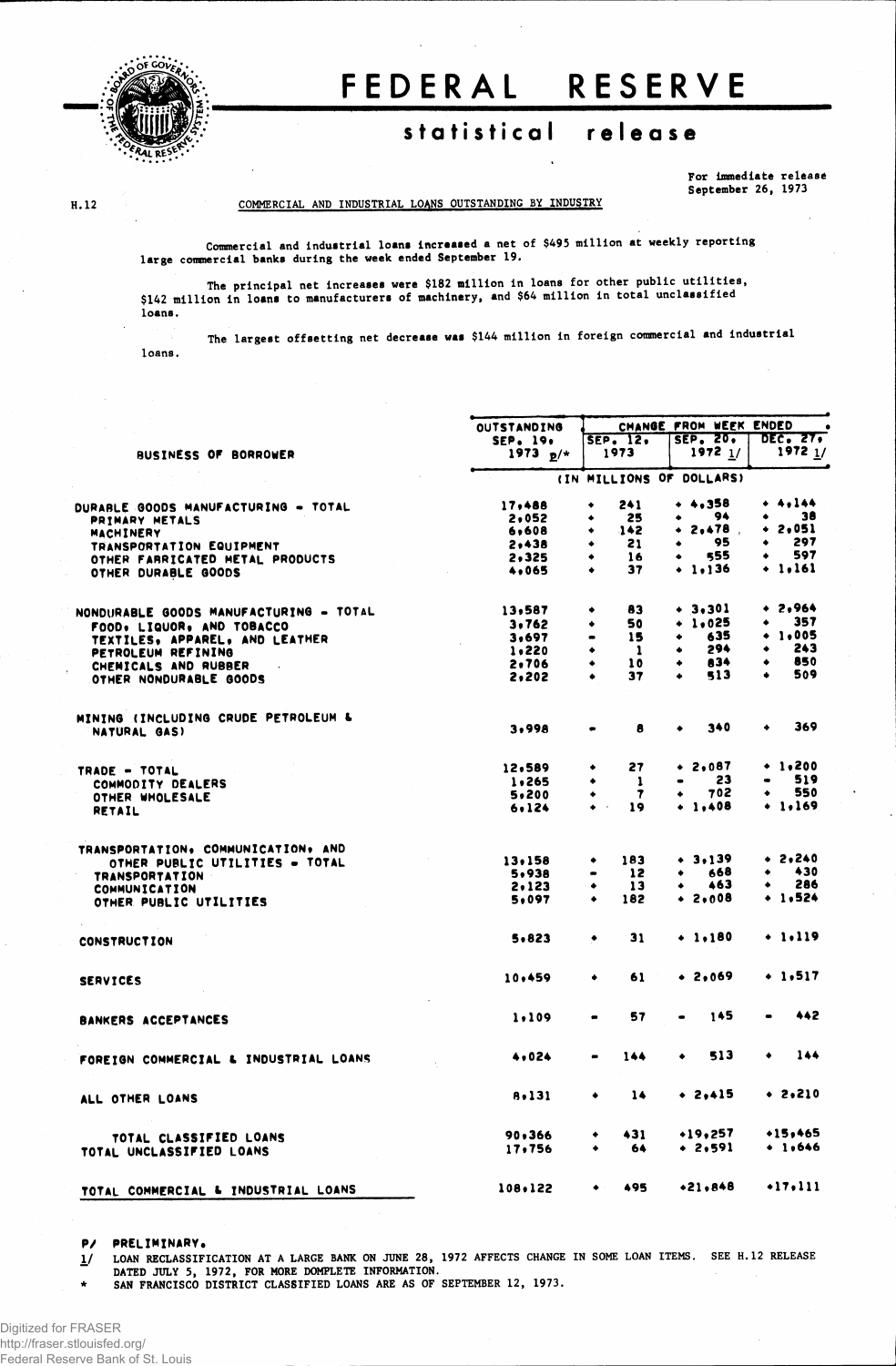

# FEDERAL RESERVE

## statistical release

**For Immediate release September 26, 1973**

#### **H. 12**

**COMMERCIAL AND INDUSTRIAL LOANS OUTSTANDING BY INDUSTRY**

**Commercial and industrial loans increased a net of \$495 million at weekly reporting large commercial banks during the week ended September 19.**

**The principal net increases were \$182 million in loans for other public utilities, \$142 million in loans to manufacturers of machinery, and \$64 million in total unclassified loans.** 

**The largest offsetting net decrease was \$144 million in foreign commercial and industrial loans.** 

|                                        | <b>OUTSTANDING</b> | CHANGE FROM WEEK ENDED<br>$\bullet$ |                      |                 |  |  |  |
|----------------------------------------|--------------------|-------------------------------------|----------------------|-----------------|--|--|--|
|                                        | SEP. 19,           | SEP. 12.                            | <b>SEP. 20.</b>      | <b>DEC. 27.</b> |  |  |  |
| BUSINESS OF BORROWER                   | $1973 p/*$         | 1973                                | $1972$ $1/$          | $1972$ $1/$     |  |  |  |
|                                        |                    | (IN MILLIONS OF DOLLARS)            |                      |                 |  |  |  |
| DURABLE GOODS MANUFACTURING - TOTAL    | 17,488             | 241<br>۰                            | $+ 4.358$            | + 4,144         |  |  |  |
| PRIMARY METALS                         | 2,052              | 25<br>۰                             | - 94<br>٠            | 38<br>$\bullet$ |  |  |  |
| MACHINERY                              | 6,608              | 142<br>٠                            | $+ 2,478$            | + 2,05l         |  |  |  |
| TRANSPORTATION EQUIPMENT               | 2.438              | 21<br>٠                             | 95<br>$\bullet$      | 297<br>٠        |  |  |  |
| OTHER FARRICATED METAL PRODUCTS        | 2,325              | 16<br>۰                             | 555<br>$\bullet$     | 597<br>۰        |  |  |  |
| OTHER DURABLE GOODS                    | 4,065              | 37<br>$\bullet$                     | $+ 1,136$            | $+ 1.161$       |  |  |  |
| NONDURABLE GOODS MANUFACTURING - TOTAL | 13,587             | 83<br>٠                             | $+ 3,301$            | $+ 2,964$       |  |  |  |
|                                        | 3.762              | 50<br>۰                             | $+ 1.025$            | 357<br>۰        |  |  |  |
| FOOD, LIQUOR, AND TOBACCO              | 3,697              | 15<br>$\bullet$                     | 635                  | $+ 1.005$       |  |  |  |
| TEXTILES, APPAREL, AND LEATHER         |                    | ٠                                   | 294<br>٠             | 243<br>٠        |  |  |  |
| PETROLEUM REFINING                     | 1,220              | - 1                                 | 834                  | 850<br>٠        |  |  |  |
| CHEMICALS AND RUBBER                   | 2,706              | 10                                  |                      | 509<br>۰        |  |  |  |
| OTHER NONDURABLE GOODS                 | 2,202              | 37<br>٠                             | 513                  |                 |  |  |  |
| MINING (INCLUDING CRUDE PETROLEUM &    |                    |                                     | 340<br>٠             | 369<br>٠        |  |  |  |
| NATURAL GAS)                           | 3,998              | 8                                   |                      |                 |  |  |  |
| TRADE - TOTAL                          | 12,589             | 27<br>٠                             | $• 2 \cdot 087$      | $+ 1.200$       |  |  |  |
| COMMODITY DEALERS                      | 1,265              | -1<br>٠                             | 23<br>$\blacksquare$ | 519             |  |  |  |
| OTHER WHOLESALE                        | 5,200              | $\mathbf{7}$                        | 702<br>٠             | 550<br>٠        |  |  |  |
| RETAIL                                 | 6.124              | $\bullet$<br>19                     | $+ 1.408$            | $+ 1.169$       |  |  |  |
| TRANSPORTATION, COMMUNICATION, AND     |                    |                                     |                      |                 |  |  |  |
| OTHER PUBLIC UTILITIES - TOTAL         | 13.158             | 183<br>٠                            | $+ 3.139$            | $+ 2,240$       |  |  |  |
| <b>TRANSPORTATION</b>                  | 5,938              | 12<br>$\qquad \qquad \blacksquare$  | 668<br>٠             | 430<br>٠        |  |  |  |
| <b>COMMUNICATION</b>                   | 2,123              | 13<br>۰                             | 463                  | 286             |  |  |  |
| OTHER PUBLIC UTILITIES                 | 5,097              | 182<br>٠                            | $+ 2,008$            | $+ 1.524$       |  |  |  |
| <b>CONSTRUCTION</b>                    | 5,823              | 31<br>٠                             | $+ 1.180$            | $+ 1.119$       |  |  |  |
|                                        |                    |                                     |                      |                 |  |  |  |
| <b>SERVICES</b>                        | 10,459             | 61<br>٠                             | $+2,069$             | $+ 1.517$       |  |  |  |
| <b>BANKERS ACCEPTANCES</b>             | 1.109              | 57<br>$\bullet$                     | 145                  | 442             |  |  |  |
| FOREIGN COMMERCIAL & INDUSTRIAL LOANS  | 4,024              | 144                                 | 513<br>٠             | 144<br>۰        |  |  |  |
| ALL OTHER LOANS                        | 8,131              | 14<br>٠                             | $+ 2,415$            | $+ 2,210$       |  |  |  |
| TOTAL CLASSIFIED LOANS                 | 90,366             | 431<br>٠                            | •19,257              | $+15, +65$      |  |  |  |
| TOTAL UNCLASSIFIED LOANS               | 17,756             | 64                                  | $+ 2.591$            | $+ 1.646$       |  |  |  |
| TOTAL COMMERCIAL & INDUSTRIAL LOANS    | 108,122            | 495<br>٠                            | $+21,848$            | $+17,111$       |  |  |  |

**P/ PRELIMINARY.**

1/ LOAN RECLASSIFICATION AT A LARGE BANK ON JUNE 28, 1972 AFFECTS CHANGE IN SOME LOAN ITEMS. SEE H.12 RELEASE **DATED JULY 5, 1972, FOR MORE DOMPLETE INFORMATION.**

**\* SAN FRANCISCO DISTRICT CLASSIFIED LOANS ARE AS OF SEPTEMBER 12, 1973.**